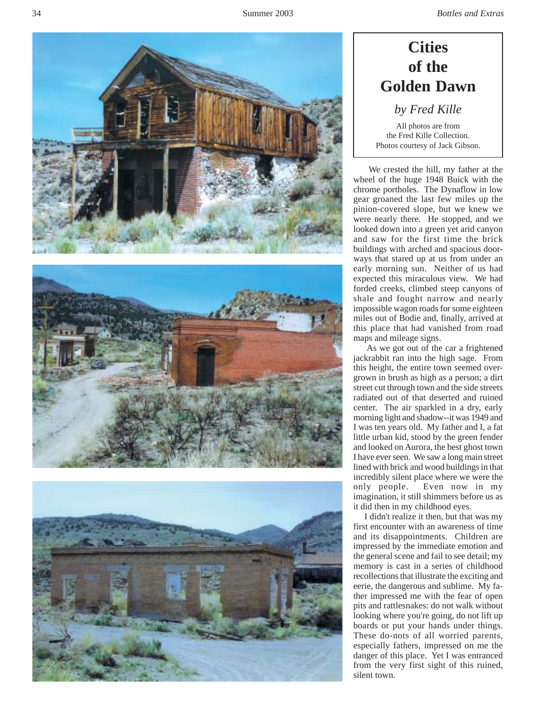





# **Cities of the Golden Dawn**

*by Fred Kille*

All photos are from the Fred Kille Collection. Photos courtesy of Jack Gibson.

 We crested the hill, my father at the wheel of the huge 1948 Buick with the chrome portholes. The Dynaflow in low gear groaned the last few miles up the pinion-covered slope, but we knew we were nearly there. He stopped, and we looked down into a green yet arid canyon and saw for the first time the brick buildings with arched and spacious doorways that stared up at us from under an early morning sun. Neither of us had expected this miraculous view. We had forded creeks, climbed steep canyons of shale and fought narrow and nearly impossible wagon roads for some eighteen miles out of Bodie and, finally, arrived at this place that had vanished from road maps and mileage signs.

 As we got out of the car a frightened jackrabbit ran into the high sage. From this height, the entire town seemed overgrown in brush as high as a person; a dirt street cut through town and the side streets radiated out of that deserted and ruined center. The air sparkled in a dry, early morning light and shadow--it was 1949 and I was ten years old. My father and I, a fat little urban kid, stood by the green fender and looked on Aurora, the best ghost town I have ever seen. We saw a long main street lined with brick and wood buildings in that incredibly silent place where we were the only people. Even now in my imagination, it still shimmers before us as it did then in my childhood eyes.

 I didn't realize it then, but that was my first encounter with an awareness of time and its disappointments. Children are impressed by the immediate emotion and the general scene and fail to see detail; my memory is cast in a series of childhood recollections that illustrate the exciting and eerie, the dangerous and sublime. My father impressed me with the fear of open pits and rattlesnakes: do not walk without looking where you're going, do not lift up boards or put your hands under things. These do-nots of all worried parents, especially fathers, impressed on me the danger of this place. Yet I was entranced from the very first sight of this ruined, silent town.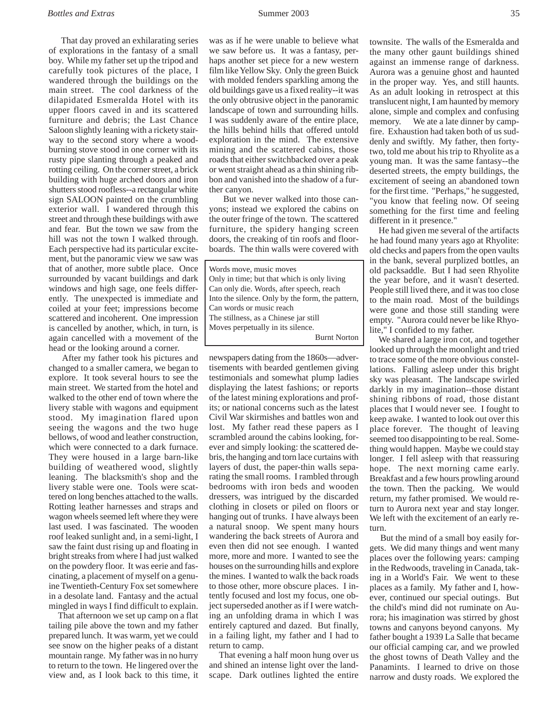That day proved an exhilarating series of explorations in the fantasy of a small boy. While my father set up the tripod and carefully took pictures of the place, I wandered through the buildings on the main street. The cool darkness of the dilapidated Esmeralda Hotel with its upper floors caved in and its scattered furniture and debris; the Last Chance Saloon slightly leaning with a rickety stairway to the second story where a woodburning stove stood in one corner with its rusty pipe slanting through a peaked and rotting ceiling. On the corner street, a brick building with huge arched doors and iron shutters stood roofless--a rectangular white sign SALOON painted on the crumbling exterior wall. I wandered through this street and through these buildings with awe and fear. But the town we saw from the hill was not the town I walked through. Each perspective had its particular excitement, but the panoramic view we saw was that of another, more subtle place. Once surrounded by vacant buildings and dark windows and high sage, one feels differently. The unexpected is immediate and coiled at your feet; impressions become scattered and incoherent. One impression is cancelled by another, which, in turn, is again cancelled with a movement of the head or the looking around a corner.

 After my father took his pictures and changed to a smaller camera, we began to explore. It took several hours to see the main street. We started from the hotel and walked to the other end of town where the livery stable with wagons and equipment stood. My imagination flared upon seeing the wagons and the two huge bellows, of wood and leather construction, which were connected to a dark furnace. They were housed in a large barn-like building of weathered wood, slightly leaning. The blacksmith's shop and the livery stable were one. Tools were scattered on long benches attached to the walls. Rotting leather harnesses and straps and wagon wheels seemed left where they were last used. I was fascinated. The wooden roof leaked sunlight and, in a semi-light, I saw the faint dust rising up and floating in bright streaks from where I had just walked on the powdery floor. It was eerie and fascinating, a placement of myself on a genuine Twentieth-Century Fox set somewhere in a desolate land. Fantasy and the actual mingled in ways I find difficult to explain.

 That afternoon we set up camp on a flat tailing pile above the town and my father prepared lunch. It was warm, yet we could see snow on the higher peaks of a distant mountain range. My father was in no hurry to return to the town. He lingered over the view and, as I look back to this time, it was as if he were unable to believe what we saw before us. It was a fantasy, perhaps another set piece for a new western film like Yellow Sky. Only the green Buick with molded fenders sparkling among the old buildings gave us a fixed reality--it was the only obtrusive object in the panoramic landscape of town and surrounding hills. I was suddenly aware of the entire place, the hills behind hills that offered untold exploration in the mind. The extensive mining and the scattered cabins, those roads that either switchbacked over a peak or went straight ahead as a thin shining ribbon and vanished into the shadow of a further canyon.

 But we never walked into those canyons; instead we explored the cabins on the outer fringe of the town. The scattered furniture, the spidery hanging screen doors, the creaking of tin roofs and floorboards. The thin walls were covered with

Words move, music moves Only in time; but that which is only living Can only die. Words, after speech, reach Into the silence. Only by the form, the pattern, Can words or music reach The stillness, as a Chinese jar still Moves perpetually in its silence. Burnt Norton

newspapers dating from the 1860s—advertisements with bearded gentlemen giving testimonials and somewhat plump ladies displaying the latest fashions; or reports of the latest mining explorations and profits; or national concerns such as the latest Civil War skirmishes and battles won and lost. My father read these papers as I scrambled around the cabins looking, forever and simply looking: the scattered debris, the hanging and torn lace curtains with layers of dust, the paper-thin walls separating the small rooms. I rambled through bedrooms with iron beds and wooden dressers, was intrigued by the discarded clothing in closets or piled on floors or hanging out of trunks. I have always been a natural snoop. We spent many hours wandering the back streets of Aurora and even then did not see enough. I wanted more, more and more. I wanted to see the houses on the surrounding hills and explore the mines. I wanted to walk the back roads to those other, more obscure places. I intently focused and lost my focus, one object superseded another as if I were watching an unfolding drama in which I was entirely captured and dazed. But finally, in a failing light, my father and I had to return to camp.

 That evening a half moon hung over us and shined an intense light over the landscape. Dark outlines lighted the entire townsite. The walls of the Esmeralda and the many other gaunt buildings shined against an immense range of darkness. Aurora was a genuine ghost and haunted in the proper way. Yes, and still haunts. As an adult looking in retrospect at this translucent night, I am haunted by memory alone, simple and complex and confusing memory. We ate a late dinner by campfire. Exhaustion had taken both of us suddenly and swiftly. My father, then fortytwo, told me about his trip to Rhyolite as a young man. It was the same fantasy--the deserted streets, the empty buildings, the excitement of seeing an abandoned town for the first time. "Perhaps," he suggested, "you know that feeling now. Of seeing something for the first time and feeling different in it presence."

 He had given me several of the artifacts he had found many years ago at Rhyolite: old checks and papers from the open vaults in the bank, several purplized bottles, an old packsaddle. But I had seen Rhyolite the year before, and it wasn't deserted. People still lived there, and it was too close to the main road. Most of the buildings were gone and those still standing were empty. "Aurora could never be like Rhyolite," I confided to my father.

 We shared a large iron cot, and together looked up through the moonlight and tried to trace some of the more obvious constellations. Falling asleep under this bright sky was pleasant. The landscape swirled darkly in my imagination--those distant shining ribbons of road, those distant places that I would never see. I fought to keep awake. I wanted to look out over this place forever. The thought of leaving seemed too disappointing to be real. Something would happen. Maybe we could stay longer. I fell asleep with that reassuring hope. The next morning came early. Breakfast and a few hours prowling around the town. Then the packing. We would return, my father promised. We would return to Aurora next year and stay longer. We left with the excitement of an early return.

 But the mind of a small boy easily forgets. We did many things and went many places over the following years: camping in the Redwoods, traveling in Canada, taking in a World's Fair. We went to these places as a family. My father and I, however, continued our special outings. But the child's mind did not ruminate on Aurora; his imagination was stirred by ghost towns and canyons beyond canyons. My father bought a 1939 La Salle that became our official camping car, and we prowled the ghost towns of Death Valley and the Panamints. I learned to drive on those narrow and dusty roads. We explored the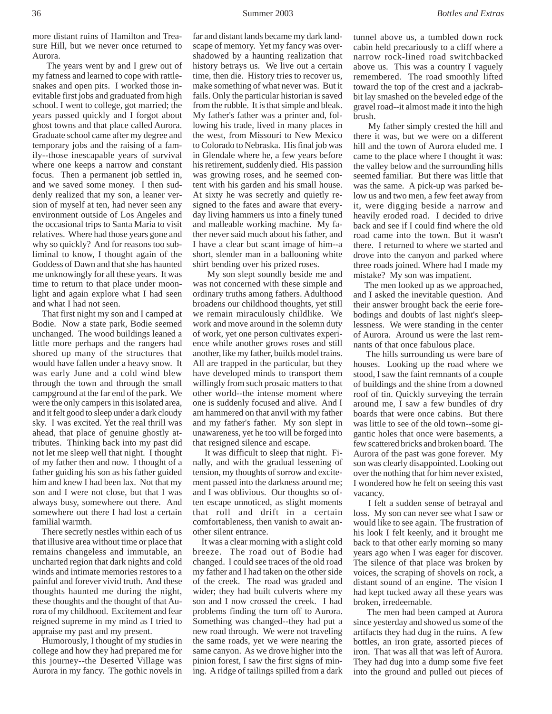more distant ruins of Hamilton and Treasure Hill, but we never once returned to Aurora.

 The years went by and I grew out of my fatness and learned to cope with rattlesnakes and open pits. I worked those inevitable first jobs and graduated from high school. I went to college, got married; the years passed quickly and I forgot about ghost towns and that place called Aurora. Graduate school came after my degree and temporary jobs and the raising of a family--those inescapable years of survival where one keeps a narrow and constant focus. Then a permanent job settled in, and we saved some money. I then suddenly realized that my son, a leaner version of myself at ten, had never seen any environment outside of Los Angeles and the occasional trips to Santa Maria to visit relatives. Where had those years gone and why so quickly? And for reasons too subliminal to know, I thought again of the Goddess of Dawn and that she has haunted me unknowingly for all these years. It was time to return to that place under moonlight and again explore what I had seen and what I had not seen.

 That first night my son and I camped at Bodie. Now a state park, Bodie seemed unchanged. The wood buildings leaned a little more perhaps and the rangers had shored up many of the structures that would have fallen under a heavy snow. It was early June and a cold wind blew through the town and through the small campground at the far end of the park. We were the only campers in this isolated area, and it felt good to sleep under a dark cloudy sky. I was excited. Yet the real thrill was ahead, that place of genuine ghostly attributes. Thinking back into my past did not let me sleep well that night. I thought of my father then and now. I thought of a father guiding his son as his father guided him and knew I had been lax. Not that my son and I were not close, but that I was always busy, somewhere out there. And somewhere out there I had lost a certain familial warmth.

 There secretly nestles within each of us that illusive area without time or place that remains changeless and immutable, an uncharted region that dark nights and cold winds and intimate memories restores to a painful and forever vivid truth. And these thoughts haunted me during the night, these thoughts and the thought of that Aurora of my childhood. Excitement and fear reigned supreme in my mind as I tried to appraise my past and my present.

 Humorously, I thought of my studies in college and how they had prepared me for this journey--the Deserted Village was Aurora in my fancy. The gothic novels in

far and distant lands became my dark landscape of memory. Yet my fancy was overshadowed by a haunting realization that history betrays us. We live out a certain time, then die. History tries to recover us, make something of what never was. But it fails. Only the particular historian is saved from the rubble. It is that simple and bleak. My father's father was a printer and, following his trade, lived in many places in the west, from Missouri to New Mexico to Colorado to Nebraska. His final job was in Glendale where he, a few years before his retirement, suddenly died. His passion was growing roses, and he seemed content with his garden and his small house. At sixty he was secretly and quietly resigned to the fates and aware that everyday living hammers us into a finely tuned and malleable working machine. My father never said much about his father, and I have a clear but scant image of him--a short, slender man in a ballooning white shirt bending over his prized roses.

 My son slept soundly beside me and was not concerned with these simple and ordinary truths among fathers. Adulthood broadens our childhood thoughts, yet still we remain miraculously childlike. We work and move around in the solemn duty of work, yet one person cultivates experience while another grows roses and still another, like my father, builds model trains. All are trapped in the particular, but they have developed minds to transport them willingly from such prosaic matters to that other world--the intense moment where one is suddenly focused and alive. And I am hammered on that anvil with my father and my father's father. My son slept in unawareness, yet he too will be forged into that resigned silence and escape.

 It was difficult to sleep that night. Finally, and with the gradual lessening of tension, my thoughts of sorrow and excitement passed into the darkness around me; and I was oblivious. Our thoughts so often escape unnoticed, as slight moments that roll and drift in a certain comfortableness, then vanish to await another silent entrance.

 It was a clear morning with a slight cold breeze. The road out of Bodie had changed. I could see traces of the old road my father and I had taken on the other side of the creek. The road was graded and wider; they had built culverts where my son and I now crossed the creek. I had problems finding the turn off to Aurora. Something was changed--they had put a new road through. We were not traveling the same roads, yet we were nearing the same canyon. As we drove higher into the pinion forest, I saw the first signs of mining. A ridge of tailings spilled from a dark tunnel above us, a tumbled down rock cabin held precariously to a cliff where a narrow rock-lined road switchbacked above us. This was a country I vaguely remembered. The road smoothly lifted toward the top of the crest and a jackrabbit lay smashed on the beveled edge of the gravel road--it almost made it into the high brush.

 My father simply crested the hill and there it was, but we were on a different hill and the town of Aurora eluded me. I came to the place where I thought it was: the valley below and the surrounding hills seemed familiar. But there was little that was the same. A pick-up was parked below us and two men, a few feet away from it, were digging beside a narrow and heavily eroded road. I decided to drive back and see if I could find where the old road came into the town. But it wasn't there. I returned to where we started and drove into the canyon and parked where three roads joined. Where had I made my mistake? My son was impatient.

 The men looked up as we approached, and I asked the inevitable question. And their answer brought back the eerie forebodings and doubts of last night's sleeplessness. We were standing in the center of Aurora. Around us were the last remnants of that once fabulous place.

 The hills surrounding us were bare of houses. Looking up the road where we stood, I saw the faint remnants of a couple of buildings and the shine from a downed roof of tin. Quickly surveying the terrain around me, I saw a few bundles of dry boards that were once cabins. But there was little to see of the old town--some gigantic holes that once were basements, a few scattered bricks and broken board. The Aurora of the past was gone forever. My son was clearly disappointed. Looking out over the nothing that for him never existed, I wondered how he felt on seeing this vast vacancy.

 I felt a sudden sense of betrayal and loss. My son can never see what I saw or would like to see again. The frustration of his look I felt keenly, and it brought me back to that other early morning so many years ago when I was eager for discover. The silence of that place was broken by voices, the scraping of shovels on rock, a distant sound of an engine. The vision I had kept tucked away all these years was broken, irredeemable.

 The men had been camped at Aurora since yesterday and showed us some of the artifacts they had dug in the ruins. A few bottles, an iron grate, assorted pieces of iron. That was all that was left of Aurora. They had dug into a dump some five feet into the ground and pulled out pieces of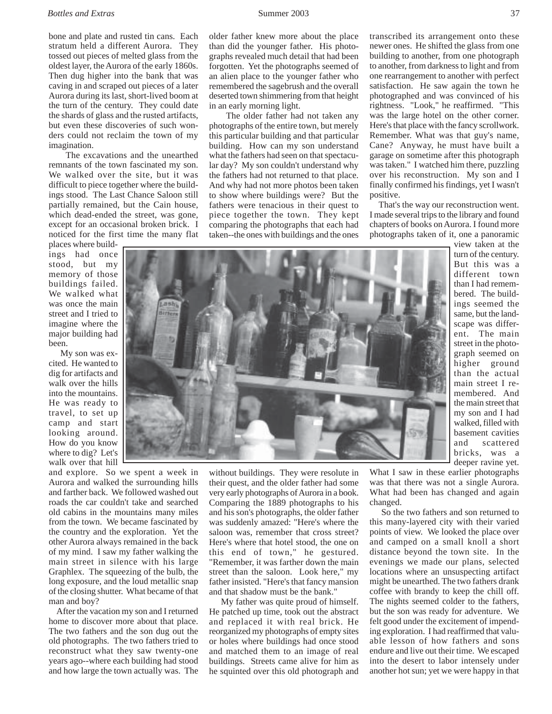older father knew more about the place than did the younger father. His photographs revealed much detail that had been forgotten. Yet the photographs seemed of an alien place to the younger father who remembered the sagebrush and the overall deserted town shimmering from that height

 The older father had not taken any photographs of the entire town, but merely this particular building and that particular building. How can my son understand what the fathers had seen on that spectacular day? My son couldn't understand why the fathers had not returned to that place. And why had not more photos been taken to show where buildings were? But the fathers were tenacious in their quest to piece together the town. They kept comparing the photographs that each had taken--the ones with buildings and the ones

in an early morning light.

bone and plate and rusted tin cans. Each stratum held a different Aurora. They tossed out pieces of melted glass from the oldest layer, the Aurora of the early 1860s. Then dug higher into the bank that was caving in and scraped out pieces of a later Aurora during its last, short-lived boom at the turn of the century. They could date the shards of glass and the rusted artifacts, but even these discoveries of such wonders could not reclaim the town of my imagination.

 The excavations and the unearthed remnants of the town fascinated my son. We walked over the site, but it was difficult to piece together where the buildings stood. The Last Chance Saloon still partially remained, but the Cain house, which dead-ended the street, was gone, except for an occasional broken brick. I noticed for the first time the many flat

places where buildings had once stood, but my memory of those buildings failed. We walked what was once the main street and I tried to imagine where the major building had been.

 My son was excited. He wanted to dig for artifacts and walk over the hills into the mountains. He was ready to travel, to set up camp and start looking around. How do you know where to dig? Let's walk over that hill

and explore. So we spent a week in Aurora and walked the surrounding hills and farther back. We followed washed out roads the car couldn't take and searched old cabins in the mountains many miles from the town. We became fascinated by the country and the exploration. Yet the other Aurora always remained in the back of my mind. I saw my father walking the main street in silence with his large Graphlex. The squeezing of the bulb, the long exposure, and the loud metallic snap of the closing shutter. What became of that man and boy?

 After the vacation my son and I returned home to discover more about that place. The two fathers and the son dug out the old photographs. The two fathers tried to reconstruct what they saw twenty-one years ago--where each building had stood and how large the town actually was. The

without buildings. They were resolute in their quest, and the older father had some very early photographs of Aurora in a book. Comparing the 1889 photographs to his and his son's photographs, the older father was suddenly amazed: "Here's where the saloon was, remember that cross street? Here's where that hotel stood, the one on this end of town," he gestured. "Remember, it was farther down the main street than the saloon. Look here," my father insisted. "Here's that fancy mansion and that shadow must be the bank."

 My father was quite proud of himself. He patched up time, took out the abstract and replaced it with real brick. He reorganized my photographs of empty sites or holes where buildings had once stood and matched them to an image of real buildings. Streets came alive for him as he squinted over this old photograph and

transcribed its arrangement onto these newer ones. He shifted the glass from one building to another, from one photograph to another, from darkness to light and from one rearrangement to another with perfect satisfaction. He saw again the town he photographed and was convinced of his rightness. "Look," he reaffirmed. "This was the large hotel on the other corner. Here's that place with the fancy scrollwork. Remember. What was that guy's name, Cane? Anyway, he must have built a garage on sometime after this photograph was taken." I watched him there, puzzling over his reconstruction. My son and I finally confirmed his findings, yet I wasn't positive.

 That's the way our reconstruction went. I made several trips to the library and found chapters of books on Aurora. I found more photographs taken of it, one a panoramic

view taken at the turn of the century. But this was a different town than I had remembered. The buildings seemed the same, but the landscape was different. The main street in the photograph seemed on higher ground than the actual main street I remembered. And the main street that my son and I had walked, filled with basement cavities and scattered bricks, was a deeper ravine yet.

What I saw in these earlier photographs was that there was not a single Aurora. What had been has changed and again changed.

 So the two fathers and son returned to this many-layered city with their varied points of view. We looked the place over and camped on a small knoll a short distance beyond the town site. In the evenings we made our plans, selected locations where an unsuspecting artifact might be unearthed. The two fathers drank coffee with brandy to keep the chill off. The nights seemed colder to the fathers, but the son was ready for adventure. We felt good under the excitement of impending exploration. I had reaffirmed that valuable lesson of how fathers and sons endure and live out their time. We escaped into the desert to labor intensely under another hot sun; yet we were happy in that

![](_page_3_Picture_15.jpeg)